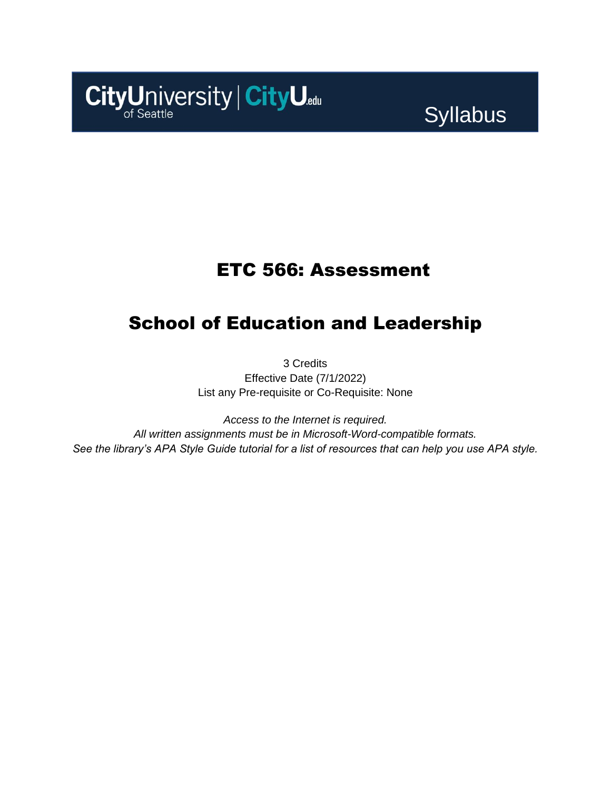

# Syllabus

### ETC 566: Assessment

# School of Education and Leadership

3 Credits Effective Date (7/1/2022) List any Pre-requisite or Co-Requisite: None

*Access to the Internet is required. All written assignments must be in Microsoft-Word-compatible formats. See the library's APA Style Guide tutorial for a list of resources that can help you use APA style.*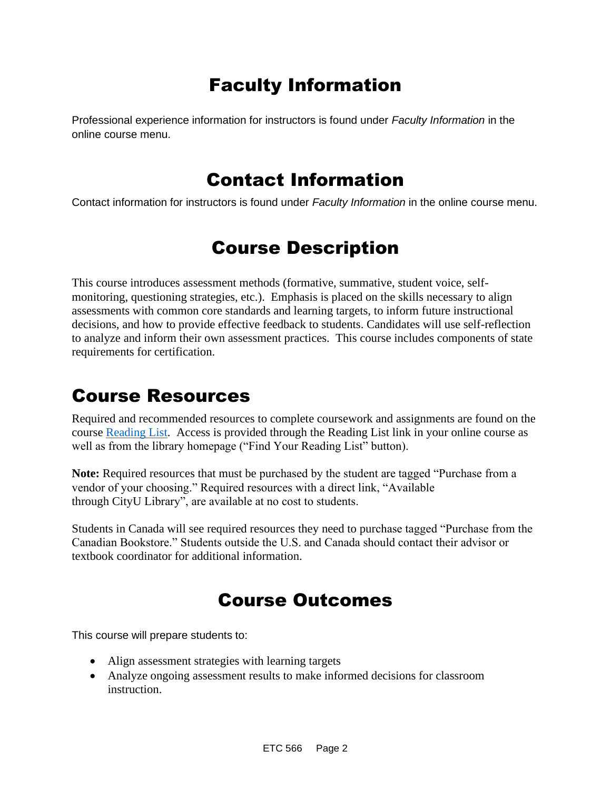# Faculty Information

Professional experience information for instructors is found under *Faculty Information* in the online course menu.

### Contact Information

Contact information for instructors is found under *Faculty Information* in the online course menu.

## Course Description

This course introduces assessment methods (formative, summative, student voice, selfmonitoring, questioning strategies, etc.). Emphasis is placed on the skills necessary to align assessments with common core standards and learning targets, to inform future instructional decisions, and how to provide effective feedback to students. Candidates will use self-reflection to analyze and inform their own assessment practices. This course includes components of state requirements for certification.

### Course Resources

Required and recommended resources to complete coursework and assignments are found on the course [Reading List.](https://nam11.safelinks.protection.outlook.com/?url=https%3A%2F%2Fcityu.alma.exlibrisgroup.com%2Fleganto%2Flogin%3Fauth%3DSAML&data=04%7C01%7Csusan_gray%40cityu.edu%7C994805af5758475be3c608d984716f4b%7Cb3fa96d9f5154662add763d854e39e63%7C1%7C0%7C637686445618676616%7CUnknown%7CTWFpbGZsb3d8eyJWIjoiMC4wLjAwMDAiLCJQIjoiV2luMzIiLCJBTiI6Ik1haWwiLCJXVCI6Mn0%3D%7C1000&sdata=lI8Qg4DkF5hJ2BPk1%2FSu8BMs943AxX6dTXuEUyBoNgs%3D&reserved=0) Access is provided through the Reading List link in your online course as well as from the library homepage ("Find Your Reading List" button).

**Note:** Required resources that must be purchased by the student are tagged "Purchase from a vendor of your choosing." Required resources with a direct link, "Available through CityU Library", are available at no cost to students.

Students in Canada will see required resources they need to purchase tagged "Purchase from the Canadian Bookstore." Students outside the U.S. and Canada should contact their advisor or textbook coordinator for additional information.

### Course Outcomes

This course will prepare students to:

- Align assessment strategies with learning targets
- Analyze ongoing assessment results to make informed decisions for classroom instruction.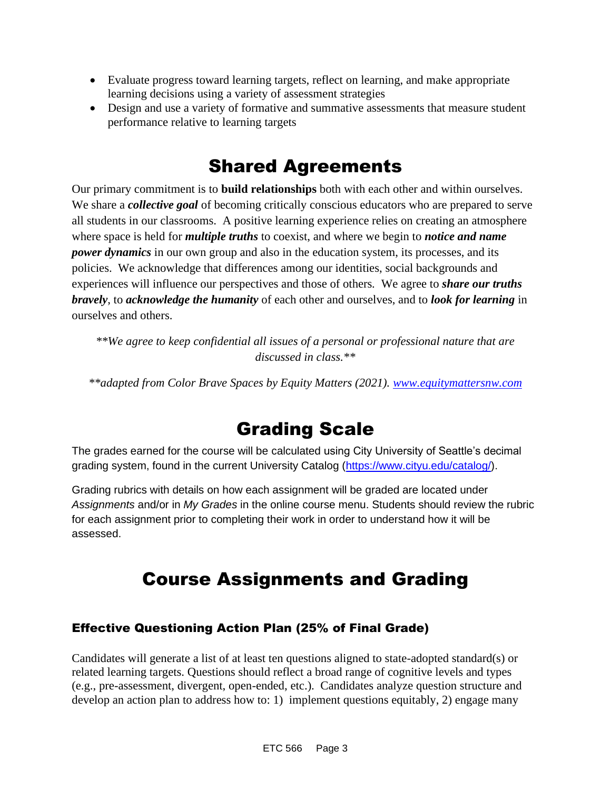- Evaluate progress toward learning targets, reflect on learning, and make appropriate learning decisions using a variety of assessment strategies
- Design and use a variety of formative and summative assessments that measure student performance relative to learning targets

## Shared Agreements

Our primary commitment is to **build relationships** both with each other and within ourselves. We share a *collective goal* of becoming critically conscious educators who are prepared to serve all students in our classrooms. A positive learning experience relies on creating an atmosphere where space is held for *multiple truths* to coexist, and where we begin to *notice and name power dynamics* in our own group and also in the education system, its processes, and its policies. We acknowledge that differences among our identities, social backgrounds and experiences will influence our perspectives and those of others*.* We agree to *share our truths bravely*, to *acknowledge the humanity* of each other and ourselves, and to *look for learning* in ourselves and others.

*\*\*We agree to keep confidential all issues of a personal or professional nature that are discussed in class.\*\**

*\*\*adapted from Color Brave Spaces by Equity Matters (2021). [www.equitymattersnw.com](http://www.equitymattersnw.com/)*

## Grading Scale

The grades earned for the course will be calculated using City University of Seattle's decimal grading system, found in the current University Catalog [\(https://www.cityu.edu/catalog/\)](https://www.cityu.edu/catalog/).

Grading rubrics with details on how each assignment will be graded are located under *Assignments* and/or in *My Grades* in the online course menu. Students should review the rubric for each assignment prior to completing their work in order to understand how it will be assessed.

# Course Assignments and Grading

### Effective Questioning Action Plan (25% of Final Grade)

Candidates will generate a list of at least ten questions aligned to state-adopted standard(s) or related learning targets. Questions should reflect a broad range of cognitive levels and types (e.g., pre-assessment, divergent, open-ended, etc.). Candidates analyze question structure and develop an action plan to address how to: 1) implement questions equitably, 2) engage many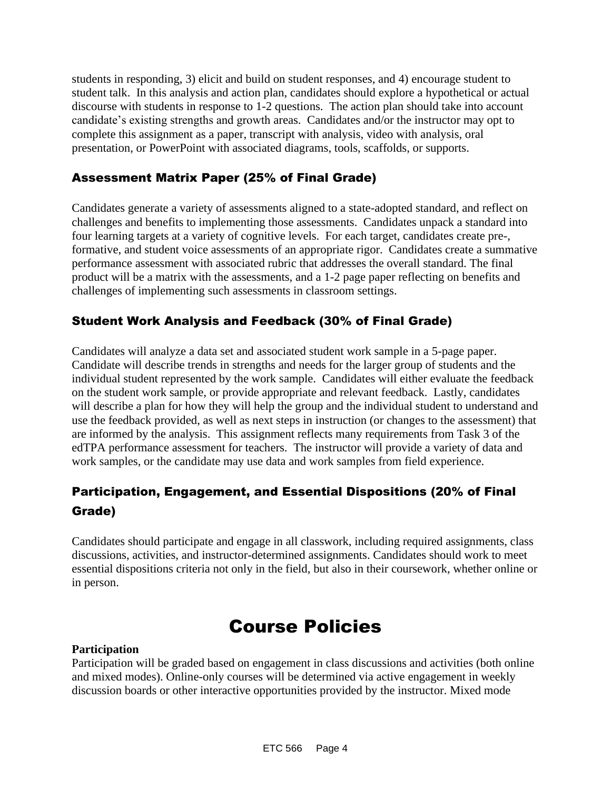students in responding, 3) elicit and build on student responses, and 4) encourage student to student talk. In this analysis and action plan, candidates should explore a hypothetical or actual discourse with students in response to 1-2 questions. The action plan should take into account candidate's existing strengths and growth areas. Candidates and/or the instructor may opt to complete this assignment as a paper, transcript with analysis, video with analysis, oral presentation, or PowerPoint with associated diagrams, tools, scaffolds, or supports.

#### Assessment Matrix Paper (25% of Final Grade)

Candidates generate a variety of assessments aligned to a state-adopted standard, and reflect on challenges and benefits to implementing those assessments. Candidates unpack a standard into four learning targets at a variety of cognitive levels. For each target, candidates create pre-, formative, and student voice assessments of an appropriate rigor. Candidates create a summative performance assessment with associated rubric that addresses the overall standard. The final product will be a matrix with the assessments, and a 1-2 page paper reflecting on benefits and challenges of implementing such assessments in classroom settings.

### Student Work Analysis and Feedback (30% of Final Grade)

Candidates will analyze a data set and associated student work sample in a 5-page paper. Candidate will describe trends in strengths and needs for the larger group of students and the individual student represented by the work sample. Candidates will either evaluate the feedback on the student work sample, or provide appropriate and relevant feedback. Lastly, candidates will describe a plan for how they will help the group and the individual student to understand and use the feedback provided, as well as next steps in instruction (or changes to the assessment) that are informed by the analysis. This assignment reflects many requirements from Task 3 of the edTPA performance assessment for teachers. The instructor will provide a variety of data and work samples, or the candidate may use data and work samples from field experience.

### Participation, Engagement, and Essential Dispositions (20% of Final Grade)

Candidates should participate and engage in all classwork, including required assignments, class discussions, activities, and instructor-determined assignments. Candidates should work to meet essential dispositions criteria not only in the field, but also in their coursework, whether online or in person.

### Course Policies

#### **Participation**

Participation will be graded based on engagement in class discussions and activities (both online and mixed modes). Online-only courses will be determined via active engagement in weekly discussion boards or other interactive opportunities provided by the instructor. Mixed mode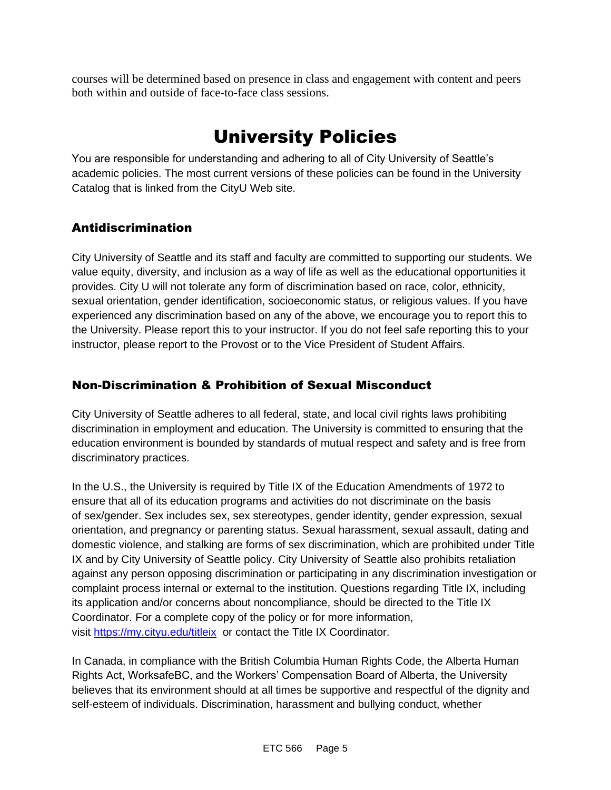courses will be determined based on presence in class and engagement with content and peers both within and outside of face-to-face class sessions.

# University Policies

You are responsible for understanding and adhering to all of City University of Seattle's academic policies. The most current versions of these policies can be found in the University Catalog that is linked from the CityU Web site.

### Antidiscrimination

City University of Seattle and its staff and faculty are committed to supporting our students. We value equity, diversity, and inclusion as a way of life as well as the educational opportunities it provides. City U will not tolerate any form of discrimination based on race, color, ethnicity, sexual orientation, gender identification, socioeconomic status, or religious values. If you have experienced any discrimination based on any of the above, we encourage you to report this to the University. Please report this to your instructor. If you do not feel safe reporting this to your instructor, please report to the Provost or to the Vice President of Student Affairs.

### Non-Discrimination & Prohibition of Sexual Misconduct

City University of Seattle adheres to all federal, state, and local civil rights laws prohibiting discrimination in employment and education. The University is committed to ensuring that the education environment is bounded by standards of mutual respect and safety and is free from discriminatory practices.

In the U.S., the University is required by Title IX of the Education Amendments of 1972 to ensure that all of its education programs and activities do not discriminate on the basis of sex/gender. Sex includes sex, sex stereotypes, gender identity, gender expression, sexual orientation, and pregnancy or parenting status. Sexual harassment, sexual assault, dating and domestic violence, and stalking are forms of sex discrimination, which are prohibited under Title IX and by City University of Seattle policy. City University of Seattle also prohibits retaliation against any person opposing discrimination or participating in any discrimination investigation or complaint process internal or external to the institution. Questions regarding Title IX, including its application and/or concerns about noncompliance, should be directed to the Title IX Coordinator. For a complete copy of the policy or for more information, visit [https://my.cityu.edu/titleix](https://nam11.safelinks.protection.outlook.com/?url=https%3A%2F%2Fmy.cityu.edu%2Ftitleix&data=04%7C01%7Claker%40cityu.edu%7Cbc558c70c10340dbaa2408d9172365a0%7Cb3fa96d9f5154662add763d854e39e63%7C1%7C0%7C637566263054321964%7CUnknown%7CTWFpbGZsb3d8eyJWIjoiMC4wLjAwMDAiLCJQIjoiV2luMzIiLCJBTiI6Ik1haWwiLCJXVCI6Mn0%3D%7C1000&sdata=GX0hgfxN2OMKFTKjD04gqvwwyU44mfnCmEdCtsEzab0%3D&reserved=0) or contact the Title IX Coordinator.

In Canada, in compliance with the British Columbia Human Rights Code, the Alberta Human Rights Act, WorksafeBC, and the Workers' Compensation Board of Alberta, the University believes that its environment should at all times be supportive and respectful of the dignity and self-esteem of individuals. Discrimination, harassment and bullying conduct, whether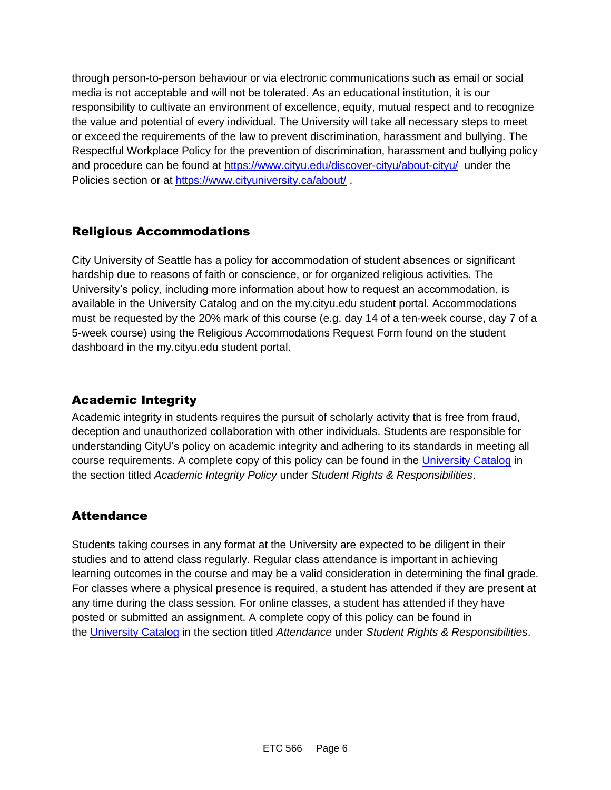through person-to-person behaviour or via electronic communications such as email or social media is not acceptable and will not be tolerated. As an educational institution, it is our responsibility to cultivate an environment of excellence, equity, mutual respect and to recognize the value and potential of every individual. The University will take all necessary steps to meet or exceed the requirements of the law to prevent discrimination, harassment and bullying. The Respectful Workplace Policy for the prevention of discrimination, harassment and bullying policy and procedure can be found at [https://www.cityu.edu/discover-cityu/about-cityu/](https://nam11.safelinks.protection.outlook.com/?url=https%3A%2F%2Fwww.cityu.edu%2Fdiscover-cityu%2Fabout-cityu%2F&data=04%7C01%7Claker%40cityu.edu%7Cbc558c70c10340dbaa2408d9172365a0%7Cb3fa96d9f5154662add763d854e39e63%7C1%7C0%7C637566263054331957%7CUnknown%7CTWFpbGZsb3d8eyJWIjoiMC4wLjAwMDAiLCJQIjoiV2luMzIiLCJBTiI6Ik1haWwiLCJXVCI6Mn0%3D%7C1000&sdata=7Q6QoqwuNLfeOJPewViWSeIwRIBy%2BoqDOiP8xSHYm78%3D&reserved=0) under the Policies section or at [https://www.cityuniversity.ca/about/](https://nam11.safelinks.protection.outlook.com/?url=https%3A%2F%2Fwww.cityuniversity.ca%2Fabout%2F&data=04%7C01%7Claker%40cityu.edu%7Cbc558c70c10340dbaa2408d9172365a0%7Cb3fa96d9f5154662add763d854e39e63%7C1%7C0%7C637566263054331957%7CUnknown%7CTWFpbGZsb3d8eyJWIjoiMC4wLjAwMDAiLCJQIjoiV2luMzIiLCJBTiI6Ik1haWwiLCJXVCI6Mn0%3D%7C1000&sdata=TX6bXEiU0CC6hC1mrTnKpuJywbR06qAj7RMu8QC4RUA%3D&reserved=0)

#### Religious Accommodations

City University of Seattle has a policy for accommodation of student absences or significant hardship due to reasons of faith or conscience, or for organized religious activities. The University's policy, including more information about how to request an accommodation, is available in the University Catalog and on the my.cityu.edu student portal. Accommodations must be requested by the 20% mark of this course (e.g. day 14 of a ten-week course, day 7 of a 5-week course) using the Religious Accommodations Request Form found on the student dashboard in the my.cityu.edu student portal.

### Academic Integrity

Academic integrity in students requires the pursuit of scholarly activity that is free from fraud, deception and unauthorized collaboration with other individuals. Students are responsible for understanding CityU's policy on academic integrity and adhering to its standards in meeting all course requirements. A complete copy of this policy can be found in the [University Catalog](https://nam11.safelinks.protection.outlook.com/?url=http%3A%2F%2Fwww.cityu.edu%2Fcatalog%2F&data=04%7C01%7Claker%40cityu.edu%7Cbc558c70c10340dbaa2408d9172365a0%7Cb3fa96d9f5154662add763d854e39e63%7C1%7C0%7C637566263054341952%7CUnknown%7CTWFpbGZsb3d8eyJWIjoiMC4wLjAwMDAiLCJQIjoiV2luMzIiLCJBTiI6Ik1haWwiLCJXVCI6Mn0%3D%7C1000&sdata=aL6fsSyLtVzJgdrlE9PtZXb%2F3H6wCdrvPcw4zOoEYTI%3D&reserved=0) in the section titled *Academic Integrity Policy* under *Student Rights & Responsibilities*.

#### **Attendance**

Students taking courses in any format at the University are expected to be diligent in their studies and to attend class regularly. Regular class attendance is important in achieving learning outcomes in the course and may be a valid consideration in determining the final grade. For classes where a physical presence is required, a student has attended if they are present at any time during the class session. For online classes, a student has attended if they have posted or submitted an assignment. A complete copy of this policy can be found in the [University Catalog](https://nam11.safelinks.protection.outlook.com/?url=http%3A%2F%2Fwww.cityu.edu%2Fcatalog%2F&data=04%7C01%7Claker%40cityu.edu%7Cbc558c70c10340dbaa2408d9172365a0%7Cb3fa96d9f5154662add763d854e39e63%7C1%7C0%7C637566263054341952%7CUnknown%7CTWFpbGZsb3d8eyJWIjoiMC4wLjAwMDAiLCJQIjoiV2luMzIiLCJBTiI6Ik1haWwiLCJXVCI6Mn0%3D%7C1000&sdata=aL6fsSyLtVzJgdrlE9PtZXb%2F3H6wCdrvPcw4zOoEYTI%3D&reserved=0) in the section titled *Attendance* under *Student Rights & Responsibilities*.